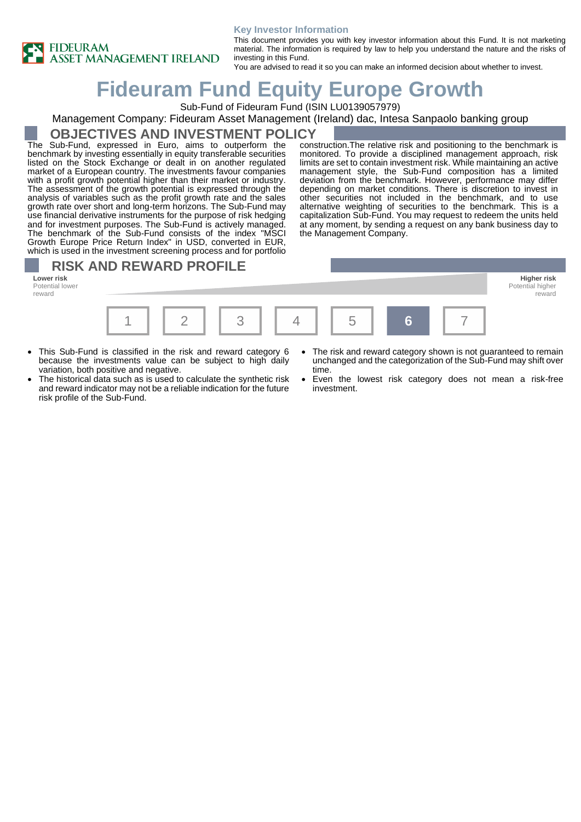

#### **Key Investor Information**

This document provides you with key investor information about this Fund. It is not marketing material. The information is required by law to help you understand the nature and the risks of investing in this Fund.

You are advised to read it so you can make an informed decision about whether to invest.

# **Fideuram Fund Equity Europe Growth**

Sub-Fund of Fideuram Fund (ISIN LU0139057979)

#### Management Company: Fideuram Asset Management (Ireland) dac, Intesa Sanpaolo banking group

#### **OBJECTIVES AND INVESTMENT POLICY**

The Sub-Fund, expressed in Euro, aims to outperform the benchmark by investing essentially in equity transferable securities listed on the Stock Exchange or dealt in on another regulated market of a European country. The investments favour companies with a profit growth potential higher than their market or industry. The assessment of the growth potential is expressed through the analysis of variables such as the profit growth rate and the sales growth rate over short and long-term horizons. The Sub-Fund may use financial derivative instruments for the purpose of risk hedging and for investment purposes. The Sub-Fund is actively managed. The benchmark of the Sub-Fund consists of the index "MSCI Growth Europe Price Return Index" in USD, converted in EUR, which is used in the investment screening process and for portfolio

construction.The relative risk and positioning to the benchmark is monitored. To provide a disciplined management approach, risk limits are set to contain investment risk. While maintaining an active management style, the Sub-Fund composition has a limited deviation from the benchmark. However, performance may differ depending on market conditions. There is discretion to invest in other securities not included in the benchmark, and to use alternative weighting of securities to the benchmark. This is a capitalization Sub-Fund. You may request to redeem the units held at any moment, by sending a request on any bank business day to the Management Company.

### **RISK AND REWARD PROFILE**

Potential lower reward



- This Sub-Fund is classified in the risk and reward category 6 because the investments value can be subject to high daily variation, both positive and negative.
- The historical data such as is used to calculate the synthetic risk and reward indicator may not be a reliable indication for the future risk profile of the Sub-Fund.
- The risk and reward category shown is not quaranteed to remain unchanged and the categorization of the Sub-Fund may shift over time.

Potential higher reward

• Even the lowest risk category does not mean a risk-free investment.